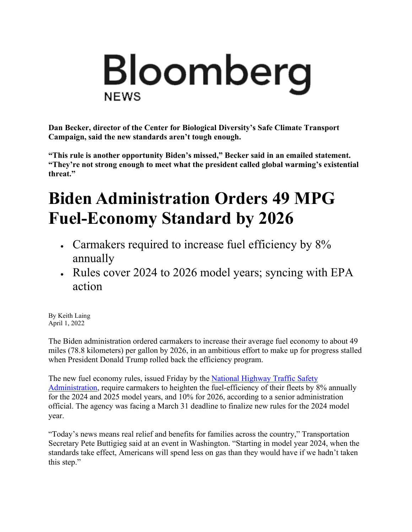## Bloomberg **NEWS**

**Dan Becker, director of the Center for Biological Diversity's Safe Climate Transport Campaign, said the new standards aren't tough enough.**

**"This rule is another opportunity Biden's missed," Becker said in an emailed statement. "They're not strong enough to meet what the president called global warming's existential threat."**

## **Biden Administration Orders 49 MPG Fuel-Economy Standard by 2026**

- Carmakers required to increase fuel efficiency by  $8\%$ annually
- Rules cover 2024 to 2026 model years; syncing with EPA action

By Keith Laing April 1, 2022

The Biden administration ordered carmakers to increase their average fuel economy to about 49 miles (78.8 kilometers) per gallon by 2026, in an ambitious effort to make up for progress stalled when President Donald Trump rolled back the efficiency program.

The new fuel economy rules, issued Friday by the [National Highway Traffic Safety](https://www.bloomberg.com/quote/0195750Z:US)  [Administration,](https://www.bloomberg.com/quote/0195750Z:US) require carmakers to heighten the fuel-efficiency of their fleets by 8% annually for the 2024 and 2025 model years, and 10% for 2026, according to a senior administration official. The agency was facing a March 31 deadline to finalize new rules for the 2024 model year.

"Today's news means real relief and benefits for families across the country," Transportation Secretary Pete Buttigieg said at an event in Washington. "Starting in model year 2024, when the standards take effect, Americans will spend less on gas than they would have if we hadn't taken this step."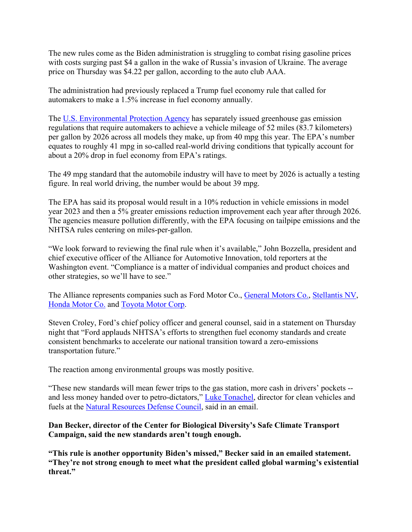The new rules come as the Biden administration is struggling to combat rising gasoline prices with costs surging past \$4 a gallon in the wake of Russia's invasion of Ukraine. The average price on Thursday was \$4.22 per gallon, according to the auto club AAA.

The administration had previously replaced a Trump fuel economy rule that called for automakers to make a 1.5% increase in fuel economy annually.

The [U.S. Environmental Protection Agency](https://www.bloomberg.com/quote/0219210Z:US) has separately issued greenhouse gas emission regulations that require automakers to achieve a vehicle mileage of 52 miles (83.7 kilometers) per gallon by 2026 across all models they make, up from 40 mpg this year. The EPA's number equates to roughly 41 mpg in so-called real-world driving conditions that typically account for about a 20% drop in fuel economy from EPA's ratings.

The 49 mpg standard that the automobile industry will have to meet by 2026 is actually a testing figure. In real world driving, the number would be about 39 mpg.

The EPA has said its proposal would result in a 10% reduction in vehicle emissions in model year 2023 and then a 5% greater emissions reduction improvement each year after through 2026. The agencies measure pollution differently, with the EPA focusing on tailpipe emissions and the NHTSA rules centering on miles-per-gallon.

"We look forward to reviewing the final rule when it's available," John Bozzella, president and chief executive officer of the Alliance for Automotive Innovation, told reporters at the Washington event. "Compliance is a matter of individual companies and product choices and other strategies, so we'll have to see."

The Alliance represents companies such as Ford Motor Co., [General Motors Co.,](https://www.bloomberg.com/quote/GM:US) [Stellantis NV,](https://www.bloomberg.com/quote/STLA:US) [Honda Motor Co.](https://www.bloomberg.com/quote/7267:JP) and [Toyota Motor Corp.](https://www.bloomberg.com/quote/7203:JP)

Steven Croley, Ford's chief policy officer and general counsel, said in a statement on Thursday night that "Ford applauds NHTSA's efforts to strengthen fuel economy standards and create consistent benchmarks to accelerate our national transition toward a zero-emissions transportation future."

The reaction among environmental groups was mostly positive.

"These new standards will mean fewer trips to the gas station, more cash in drivers' pockets -- and less money handed over to petro-dictators," [Luke Tonachel,](https://u7061146.ct.sendgrid.net/ls/click?upn=4tNED-2FM8iDZJQyQ53jATUcmRcKZBafvIfyy2zoYbTO1d-2BV5c-2BsWayliL6VlWWeTLaJUJulwJMa7EGvPqTG-2BcLg-3D-3DIcmz_jM1TG1tQp87UoBKgrgIsQw7yRiz0fFhCwumcWr-2BIiIHfodwQOFzds5owkzCpraWZtV0n75XbX1TS1PhPuv5W0SOjs4wo068kVULLyzOd2PnECPGtFG9v4F1jf8KnrXCA533M1n8TVNCSrwaabzs5DK1hm5tu0YJjSFvr0-2FsJQfZiAJFhQOUG3R05quASjulaawuB44JAYbVf3Myiu3CFt6o86vIlYSb-2BaHHeCZ-2Fd3D1um2SB0O-2FQB1QkgWnNeLD2YbURWulV3M90bxApGKwrCSzcjFFXJWGPFVM-2FGLkE0u45xGangaGke5uY0C4p-2F6R0TIsHbgwsgs-2FL4SwgIlbLMB0IHTva23oSwYuTNxtZQuY-3D) director for clean vehicles and fuels at the [Natural Resources Defense Council,](https://www.bloomberg.com/quote/3650679Z:US) said in an email.

## **Dan Becker, director of the Center for Biological Diversity's Safe Climate Transport Campaign, said the new standards aren't tough enough.**

**"This rule is another opportunity Biden's missed," Becker said in an emailed statement. "They're not strong enough to meet what the president called global warming's existential threat."**